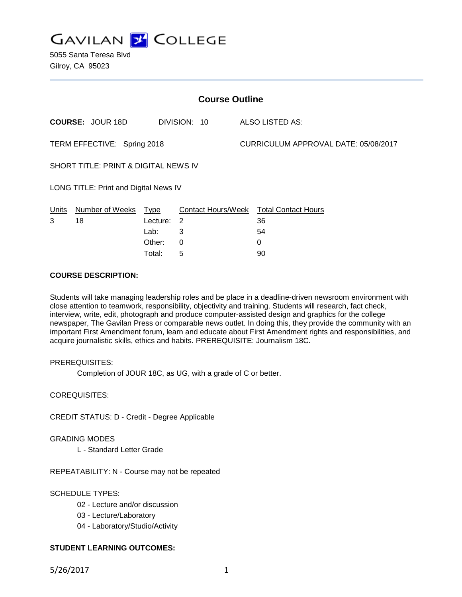**GAVILAN 2 COLLEGE** 

5055 Santa Teresa Blvd Gilroy, CA 95023

| <b>Course Outline</b>                 |                         |          |                            |                                      |                                        |
|---------------------------------------|-------------------------|----------|----------------------------|--------------------------------------|----------------------------------------|
|                                       | <b>COURSE: JOUR 18D</b> |          | DIVISION: 10               |                                      | <b>ALSO LISTED AS:</b>                 |
| TERM EFFECTIVE: Spring 2018           |                         |          |                            | CURRICULUM APPROVAL DATE: 05/08/2017 |                                        |
| SHORT TITLE: PRINT & DIGITAL NEWS IV  |                         |          |                            |                                      |                                        |
| LONG TITLE: Print and Digital News IV |                         |          |                            |                                      |                                        |
| <u>Units</u>                          | Number of Weeks Type    |          |                            |                                      | Contact Hours/Week Total Contact Hours |
| 3                                     | 18                      | Lecture: | $\overline{\phantom{0}}^2$ |                                      | 36                                     |
|                                       |                         | Lab:     | 3                          |                                      | 54                                     |
|                                       |                         | Other:   | $\Omega$                   |                                      | 0                                      |
|                                       |                         | Total:   | 5                          |                                      | 90                                     |

## **COURSE DESCRIPTION:**

Students will take managing leadership roles and be place in a deadline-driven newsroom environment with close attention to teamwork, responsibility, objectivity and training. Students will research, fact check, interview, write, edit, photograph and produce computer-assisted design and graphics for the college newspaper, The Gavilan Press or comparable news outlet. In doing this, they provide the community with an important First Amendment forum, learn and educate about First Amendment rights and responsibilities, and acquire journalistic skills, ethics and habits. PREREQUISITE: Journalism 18C.

### PREREQUISITES:

Completion of JOUR 18C, as UG, with a grade of C or better.

COREQUISITES:

CREDIT STATUS: D - Credit - Degree Applicable

#### GRADING MODES

L - Standard Letter Grade

REPEATABILITY: N - Course may not be repeated

### SCHEDULE TYPES:

- 02 Lecture and/or discussion
- 03 Lecture/Laboratory
- 04 Laboratory/Studio/Activity

# **STUDENT LEARNING OUTCOMES:**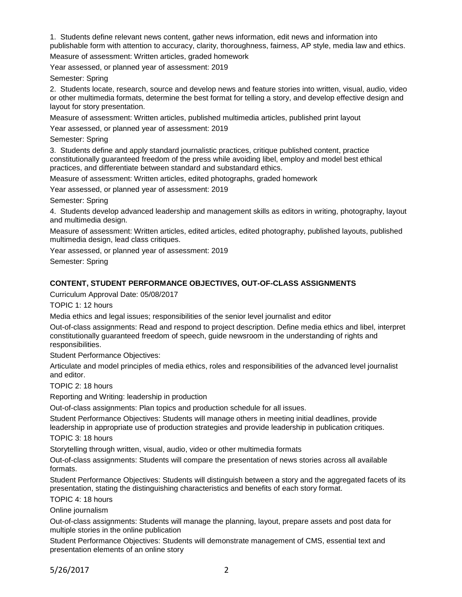1. Students define relevant news content, gather news information, edit news and information into publishable form with attention to accuracy, clarity, thoroughness, fairness, AP style, media law and ethics.

Measure of assessment: Written articles, graded homework

Year assessed, or planned year of assessment: 2019

Semester: Spring

2. Students locate, research, source and develop news and feature stories into written, visual, audio, video or other multimedia formats, determine the best format for telling a story, and develop effective design and layout for story presentation.

Measure of assessment: Written articles, published multimedia articles, published print layout

Year assessed, or planned year of assessment: 2019

Semester: Spring

3. Students define and apply standard journalistic practices, critique published content, practice constitutionally guaranteed freedom of the press while avoiding libel, employ and model best ethical practices, and differentiate between standard and substandard ethics.

Measure of assessment: Written articles, edited photographs, graded homework

Year assessed, or planned year of assessment: 2019

Semester: Spring

4. Students develop advanced leadership and management skills as editors in writing, photography, layout and multimedia design.

Measure of assessment: Written articles, edited articles, edited photography, published layouts, published multimedia design, lead class critiques.

Year assessed, or planned year of assessment: 2019

Semester: Spring

### **CONTENT, STUDENT PERFORMANCE OBJECTIVES, OUT-OF-CLASS ASSIGNMENTS**

Curriculum Approval Date: 05/08/2017

TOPIC 1: 12 hours

Media ethics and legal issues; responsibilities of the senior level journalist and editor

Out-of-class assignments: Read and respond to project description. Define media ethics and libel, interpret constitutionally guaranteed freedom of speech, guide newsroom in the understanding of rights and responsibilities.

Student Performance Objectives:

Articulate and model principles of media ethics, roles and responsibilities of the advanced level journalist and editor.

TOPIC 2: 18 hours

Reporting and Writing: leadership in production

Out-of-class assignments: Plan topics and production schedule for all issues.

Student Performance Objectives: Students will manage others in meeting initial deadlines, provide leadership in appropriate use of production strategies and provide leadership in publication critiques.

TOPIC 3: 18 hours

Storytelling through written, visual, audio, video or other multimedia formats

Out-of-class assignments: Students will compare the presentation of news stories across all available formats.

Student Performance Objectives: Students will distinguish between a story and the aggregated facets of its presentation, stating the distinguishing characteristics and benefits of each story format.

TOPIC 4: 18 hours

Online journalism

Out-of-class assignments: Students will manage the planning, layout, prepare assets and post data for multiple stories in the online publication

Student Performance Objectives: Students will demonstrate management of CMS, essential text and presentation elements of an online story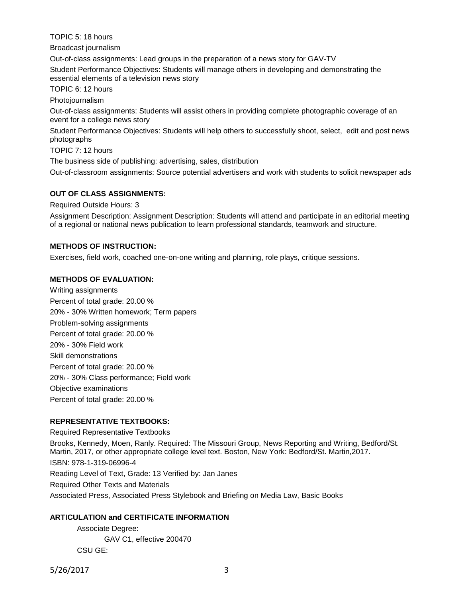TOPIC 5: 18 hours

Broadcast journalism

Out-of-class assignments: Lead groups in the preparation of a news story for GAV-TV Student Performance Objectives: Students will manage others in developing and demonstrating the essential elements of a television news story

TOPIC 6: 12 hours

Photojournalism

Out-of-class assignments: Students will assist others in providing complete photographic coverage of an event for a college news story

Student Performance Objectives: Students will help others to successfully shoot, select, edit and post news photographs

TOPIC 7: 12 hours

The business side of publishing: advertising, sales, distribution

Out-of-classroom assignments: Source potential advertisers and work with students to solicit newspaper ads

### **OUT OF CLASS ASSIGNMENTS:**

Required Outside Hours: 3

Assignment Description: Assignment Description: Students will attend and participate in an editorial meeting of a regional or national news publication to learn professional standards, teamwork and structure.

### **METHODS OF INSTRUCTION:**

Exercises, field work, coached one-on-one writing and planning, role plays, critique sessions.

### **METHODS OF EVALUATION:**

Writing assignments Percent of total grade: 20.00 % 20% - 30% Written homework; Term papers Problem-solving assignments Percent of total grade: 20.00 % 20% - 30% Field work Skill demonstrations Percent of total grade: 20.00 % 20% - 30% Class performance; Field work Objective examinations Percent of total grade: 20.00 %

### **REPRESENTATIVE TEXTBOOKS:**

Required Representative Textbooks

Brooks, Kennedy, Moen, Ranly. Required: The Missouri Group, News Reporting and Writing, Bedford/St. Martin, 2017, or other appropriate college level text. Boston, New York: Bedford/St. Martin,2017. ISBN: 978-1-319-06996-4 Reading Level of Text, Grade: 13 Verified by: Jan Janes Required Other Texts and Materials Associated Press, Associated Press Stylebook and Briefing on Media Law, Basic Books

### **ARTICULATION and CERTIFICATE INFORMATION**

Associate Degree: GAV C1, effective 200470 CSU GE:

5/26/2017 3